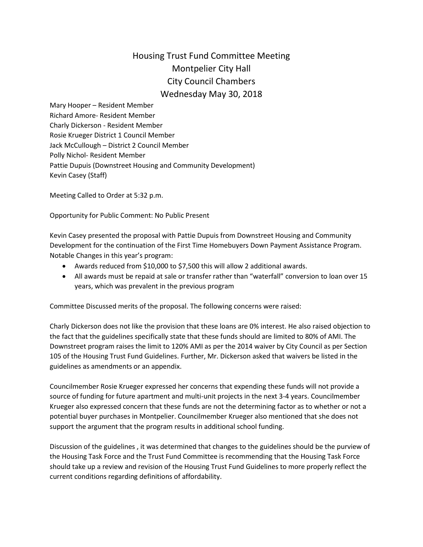## Housing Trust Fund Committee Meeting Montpelier City Hall City Council Chambers Wednesday May 30, 2018

Mary Hooper – Resident Member Richard Amore- Resident Member Charly Dickerson - Resident Member Rosie Krueger District 1 Council Member Jack McCullough – District 2 Council Member Polly Nichol- Resident Member Pattie Dupuis (Downstreet Housing and Community Development) Kevin Casey (Staff)

Meeting Called to Order at 5:32 p.m.

Opportunity for Public Comment: No Public Present

Kevin Casey presented the proposal with Pattie Dupuis from Downstreet Housing and Community Development for the continuation of the First Time Homebuyers Down Payment Assistance Program. Notable Changes in this year's program:

- Awards reduced from \$10,000 to \$7,500 this will allow 2 additional awards.
- All awards must be repaid at sale or transfer rather than "waterfall" conversion to loan over 15 years, which was prevalent in the previous program

Committee Discussed merits of the proposal. The following concerns were raised:

Charly Dickerson does not like the provision that these loans are 0% interest. He also raised objection to the fact that the guidelines specifically state that these funds should are limited to 80% of AMI. The Downstreet program raises the limit to 120% AMI as per the 2014 waiver by City Council as per Section 105 of the Housing Trust Fund Guidelines. Further, Mr. Dickerson asked that waivers be listed in the guidelines as amendments or an appendix.

Councilmember Rosie Krueger expressed her concerns that expending these funds will not provide a source of funding for future apartment and multi-unit projects in the next 3-4 years. Councilmember Krueger also expressed concern that these funds are not the determining factor as to whether or not a potential buyer purchases in Montpelier. Councilmember Krueger also mentioned that she does not support the argument that the program results in additional school funding.

Discussion of the guidelines , it was determined that changes to the guidelines should be the purview of the Housing Task Force and the Trust Fund Committee is recommending that the Housing Task Force should take up a review and revision of the Housing Trust Fund Guidelines to more properly reflect the current conditions regarding definitions of affordability.